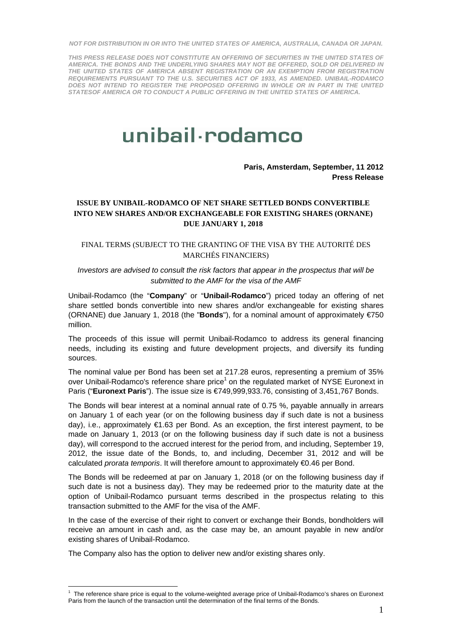*THIS PRESS RELEASE DOES NOT CONSTITUTE AN OFFERING OF SECURITIES IN THE UNITED STATES OF AMERICA. THE BONDS AND THE UNDERLYING SHARES MAY NOT BE OFFERED, SOLD OR DELIVERED IN THE UNITED STATES OF AMERICA ABSENT REGISTRATION OR AN EXEMPTION FROM REGISTRATION REQUIREMENTS PURSUANT TO THE U.S. SECURITIES ACT OF 1933, AS AMENDED. UNIBAIL-RODAMCO*  **DOES NOT INTEND TO REGISTER THE PROPOSED OFFERING IN WHOLE OR IN PART IN THE UNITED** *STATESOF AMERICA OR TO CONDUCT A PUBLIC OFFERING IN THE UNITED STATES OF AMERICA.* 

# unibail·rodamco

# **Paris, Amsterdam, September, 11 2012 Press Release**

# **ISSUE BY UNIBAIL-RODAMCO OF NET SHARE SETTLED BONDS CONVERTIBLE INTO NEW SHARES AND/OR EXCHANGEABLE FOR EXISTING SHARES (ORNANE) DUE JANUARY 1, 2018**

# FINAL TERMS (SUBJECT TO THE GRANTING OF THE VISA BY THE AUTORITÉ DES MARCHÉS FINANCIERS)

# *Investors are advised to consult the risk factors that appear in the prospectus that will be submitted to the AMF for the visa of the AMF*

Unibail-Rodamco (the "**Company**" or "**Unibail-Rodamco**") priced today an offering of net share settled bonds convertible into new shares and/or exchangeable for existing shares (ORNANE) due January 1, 2018 (the "**Bonds**"), for a nominal amount of approximately €750 million.

The proceeds of this issue will permit Unibail-Rodamco to address its general financing needs, including its existing and future development projects, and diversify its funding sources.

The nominal value per Bond has been set at 217.28 euros, representing a premium of 35% over Unibail-Rodamco's reference share price<sup>1</sup> on the regulated market of NYSE Euronext in Paris ("Euronext Paris"). The issue size is €749,999,933.76, consisting of 3,451,767 Bonds.

The Bonds will bear interest at a nominal annual rate of 0.75 %, payable annually in arrears on January 1 of each year (or on the following business day if such date is not a business day), i.e., approximately €1.63 per Bond. As an exception, the first interest payment, to be made on January 1, 2013 (or on the following business day if such date is not a business day), will correspond to the accrued interest for the period from, and including, September 19, 2012, the issue date of the Bonds, to, and including, December 31, 2012 and will be calculated *prorata temporis*. It will therefore amount to approximately €0.46 per Bond.

The Bonds will be redeemed at par on January 1, 2018 (or on the following business day if such date is not a business day). They may be redeemed prior to the maturity date at the option of Unibail-Rodamco pursuant terms described in the prospectus relating to this transaction submitted to the AMF for the visa of the AMF.

In the case of the exercise of their right to convert or exchange their Bonds, bondholders will receive an amount in cash and, as the case may be, an amount payable in new and/or existing shares of Unibail-Rodamco.

The Company also has the option to deliver new and/or existing shares only.

1

<sup>1</sup> The reference share price is equal to the volume-weighted average price of Unibail-Rodamco's shares on Euronext Paris from the launch of the transaction until the determination of the final terms of the Bonds.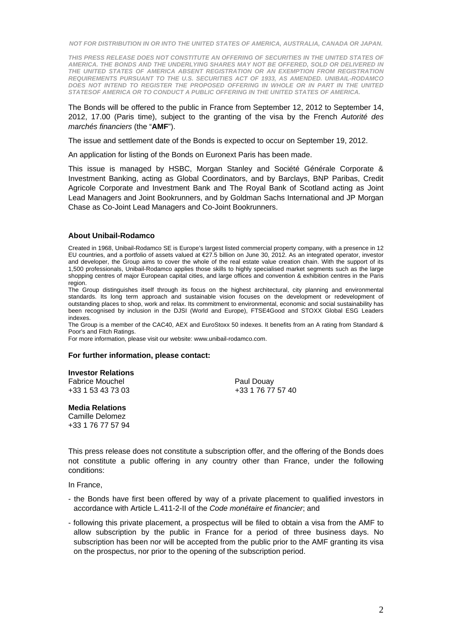*THIS PRESS RELEASE DOES NOT CONSTITUTE AN OFFERING OF SECURITIES IN THE UNITED STATES OF AMERICA. THE BONDS AND THE UNDERLYING SHARES MAY NOT BE OFFERED, SOLD OR DELIVERED IN THE UNITED STATES OF AMERICA ABSENT REGISTRATION OR AN EXEMPTION FROM REGISTRATION REQUIREMENTS PURSUANT TO THE U.S. SECURITIES ACT OF 1933, AS AMENDED. UNIBAIL-RODAMCO*  **DOES NOT INTEND TO REGISTER THE PROPOSED OFFERING IN WHOLE OR IN PART IN THE UNITED** *STATESOF AMERICA OR TO CONDUCT A PUBLIC OFFERING IN THE UNITED STATES OF AMERICA.* 

# The Bonds will be offered to the public in France from September 12, 2012 to September 14, 2012, 17.00 (Paris time), subject to the granting of the visa by the French *Autorité des marchés financiers* (the "**AMF**").

The issue and settlement date of the Bonds is expected to occur on September 19, 2012.

An application for listing of the Bonds on Euronext Paris has been made.

This issue is managed by HSBC, Morgan Stanley and Société Générale Corporate & Investment Banking, acting as Global Coordinators, and by Barclays, BNP Paribas, Credit Agricole Corporate and Investment Bank and The Royal Bank of Scotland acting as Joint Lead Managers and Joint Bookrunners, and by Goldman Sachs International and JP Morgan Chase as Co-Joint Lead Managers and Co-Joint Bookrunners.

## **About Unibail-Rodamco**

Created in 1968, Unibail-Rodamco SE is Europe's largest listed commercial property company, with a presence in 12 EU countries, and a portfolio of assets valued at €27.5 billion on June 30, 2012. As an integrated operator, investor and developer, the Group aims to cover the whole of the real estate value creation chain. With the support of its 1,500 professionals, Unibail-Rodamco applies those skills to highly specialised market segments such as the large shopping centres of major European capital cities, and large offices and convention & exhibition centres in the Paris region.

The Group distinguishes itself through its focus on the highest architectural, city planning and environmental standards. Its long term approach and sustainable vision focuses on the development or redevelopment of outstanding places to shop, work and relax. Its commitment to environmental, economic and social sustainability has been recognised by inclusion in the DJSI (World and Europe), FTSE4Good and STOXX Global ESG Leaders indexes.

The Group is a member of the CAC40, AEX and EuroStoxx 50 indexes. It benefits from an A rating from Standard & Poor's and Fitch Ratings.

For more information, please visit our website: www.unibail-rodamco.com.

## **For further information, please contact:**

## **Investor Relations**

Fabrice Mouchel **Paul Douav** +33 1 76 77 57 40

## **Media Relations**

Camille Delomez +33 1 76 77 57 94

This press release does not constitute a subscription offer, and the offering of the Bonds does not constitute a public offering in any country other than France, under the following conditions:

In France,

- the Bonds have first been offered by way of a private placement to qualified investors in accordance with Article L.411-2-II of the *Code monétaire et financier*; and
- following this private placement, a prospectus will be filed to obtain a visa from the AMF to allow subscription by the public in France for a period of three business days. No subscription has been nor will be accepted from the public prior to the AMF granting its visa on the prospectus, nor prior to the opening of the subscription period.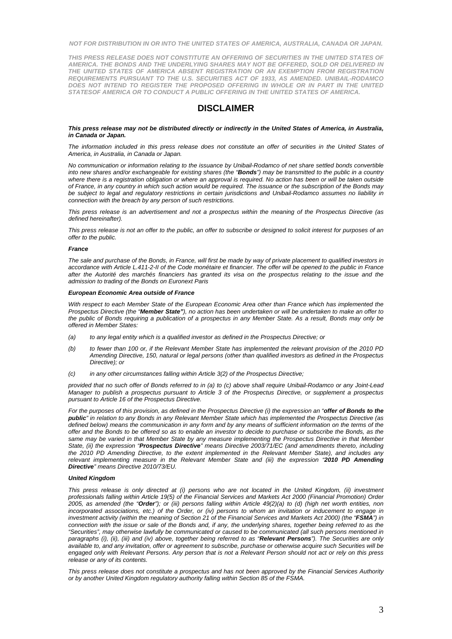*THIS PRESS RELEASE DOES NOT CONSTITUTE AN OFFERING OF SECURITIES IN THE UNITED STATES OF AMERICA. THE BONDS AND THE UNDERLYING SHARES MAY NOT BE OFFERED, SOLD OR DELIVERED IN THE UNITED STATES OF AMERICA ABSENT REGISTRATION OR AN EXEMPTION FROM REGISTRATION REQUIREMENTS PURSUANT TO THE U.S. SECURITIES ACT OF 1933, AS AMENDED. UNIBAIL-RODAMCO*  **DOES NOT INTEND TO REGISTER THE PROPOSED OFFERING IN WHOLE OR IN PART IN THE UNITED** *STATESOF AMERICA OR TO CONDUCT A PUBLIC OFFERING IN THE UNITED STATES OF AMERICA.* 

# **DISCLAIMER**

### *This press release may not be distributed directly or indirectly in the United States of America, in Australia, in Canada or Japan.*

*The information included in this press release does not constitute an offer of securities in the United States of America, in Australia, in Canada or Japan.* 

*No communication or information relating to the issuance by Unibail-Rodamco of net share settled bonds convertible into new shares and/or exchangeable for existing shares (the "Bonds") may be transmitted to the public in a country where there is a registration obligation or where an approval is required. No action has been or will be taken outside of France, in any country in which such action would be required. The issuance or the subscription of the Bonds may be subject to legal and regulatory restrictions in certain jurisdictions and Unibail-Rodamco assumes no liability in connection with the breach by any person of such restrictions.* 

*This press release is an advertisement and not a prospectus within the meaning of the Prospectus Directive (as defined hereinafter).* 

*This press release is not an offer to the public, an offer to subscribe or designed to solicit interest for purposes of an offer to the public.* 

#### *France*

*The sale and purchase of the Bonds, in France, will first be made by way of private placement to qualified investors in accordance with Article L.411-2-II of the Code monétaire et financier. The offer will be opened to the public in France after the Autorité des marchés financiers has granted its visa on the prospectus relating to the issue and the admission to trading of the Bonds on Euronext Paris* 

### *European Economic Area outside of France*

*With respect to each Member State of the European Economic Area other than France which has implemented the Prospectus Directive (the "Member State"), no action has been undertaken or will be undertaken to make an offer to the public of Bonds requiring a publication of a prospectus in any Member State. As a result, Bonds may only be offered in Member States:* 

- *(a) to any legal entity which is a qualified investor as defined in the Prospectus Directive; or*
- *(b) to fewer than 100 or, if the Relevant Member State has implemented the relevant provision of the 2010 PD Amending Directive, 150, natural or legal persons (other than qualified investors as defined in the Prospectus Directive); or*
- *(c) in any other circumstances falling within Article 3(2) of the Prospectus Directive;*

*provided that no such offer of Bonds referred to in (a) to (c) above shall require Unibail-Rodamco or any Joint-Lead Manager to publish a prospectus pursuant to Article 3 of the Prospectus Directive, or supplement a prospectus pursuant to Article 16 of the Prospectus Directive.* 

*For the purposes of this provision, as defined in the Prospectus Directive (i) the expression an "offer of Bonds to the public" in relation to any Bonds in any Relevant Member State which has implemented the Prospectus Directive (as defined below) means the communication in any form and by any means of sufficient information on the terms of the offer and the Bonds to be offered so as to enable an investor to decide to purchase or subscribe the Bonds, as the same may be varied in that Member State by any measure implementing the Prospectus Directive in that Member State, (ii) the expression "Prospectus Directive" means Directive 2003/71/EC (and amendments thereto, including the 2010 PD Amending Directive, to the extent implemented in the Relevant Member State), and includes any relevant implementing measure in the Relevant Member State and (iii) the expression "2010 PD Amending Directive" means Directive 2010/73/EU.* 

## *United Kingdom*

*This press release is only directed at (i) persons who are not located in the United Kingdom, (ii) investment professionals falling within Article 19(5) of the Financial Services and Markets Act 2000 (Financial Promotion) Order 2005, as amended (the "Order"); or (iii) persons falling within Article 49(2)(a) to (d) (high net worth entities, non incorporated associations, etc.) of the Order, or (iv) persons to whom an invitation or inducement to engage in investment activity (within the meaning of Section 21 of the Financial Services and Markets Act 2000) (the "FSMA") in*  connection with the issue or sale of the Bonds and, if any, the underlying shares, together being referred to as the *"Securities", may otherwise lawfully be communicated or caused to be communicated (all such persons mentioned in paragraphs (i), (ii), (iii) and (iv) above, together being referred to as "Relevant Persons"). The Securities are only available to, and any invitation, offer or agreement to subscribe, purchase or otherwise acquire such Securities will be engaged only with Relevant Persons. Any person that is not a Relevant Person should not act or rely on this press release or any of its contents.* 

*This press release does not constitute a prospectus and has not been approved by the Financial Services Authority or by another United Kingdom regulatory authority falling within Section 85 of the FSMA.*